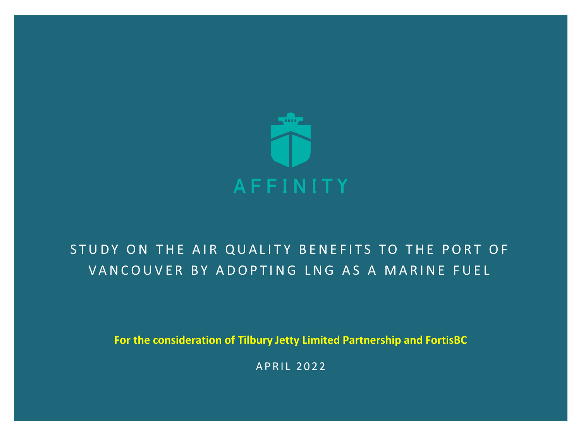

### STUDY ON THE AIR QUALITY BENEFITS TO THE PORT OF VAN COUVER BY ADOPTING LNG AS A MARINE FUEL

**For the consideration of Tilbury Jetty Limited Partnership and FortisBC**

APRIL 2022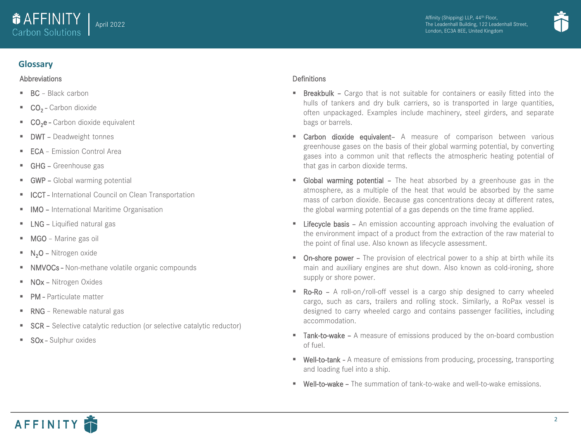



### **Glossary**

### **Abbreviations**

- BC Black carbon
- CO<sub>2</sub> Carbon dioxide
- CO<sub>2</sub>e Carbon dioxide equivalent
- **DWT Deadweight tonnes**
- **ECA** Emission Control Area
- **GHG Greenhouse gas**
- **GWP** Global warming potential
- **E** ICCT International Council on Clean Transportation
- **IMO International Maritime Organisation**
- **E** LNG Liquified natural gas
- **■** MGO Marine gas oil
- $\blacksquare$  N<sub>2</sub>O Nitrogen oxide
- NMVOCs Non-methane volatile organic compounds
- NOx Nitrogen Oxides
- PM Particulate matter
- RNG Renewable natural gas
- SCR Selective catalytic reduction (or selective catalytic reductor)
- **BOx Sulphur oxides**

### **Definitions**

- **Exercise Figure 1** Breakbulk Cargo that is not suitable for containers or easily fitted into the hulls of tankers and dry bulk carriers, so is transported in large quantities, often unpackaged. Examples include machinery, steel girders, and separate bags or barrels.
- **E** Carbon dioxide equivalent- A measure of comparison between various greenhouse gases on the basis of their global warming potential, by converting gases into a common unit that reflects the atmospheric heating potential of that gas in carbon dioxide terms.
- **Global warming potential –** The heat absorbed by a greenhouse gas in the atmosphere, as a multiple of the heat that would be absorbed by the same mass of carbon dioxide. Because gas concentrations decay at different rates, the global warming potential of a gas depends on the time frame applied.
- **EXECT** Lifecycle basis An emission accounting approach involving the evaluation of the environment impact of a product from the extraction of the raw material to the point of final use. Also known as lifecycle assessment.
- **On-shore power** The provision of electrical power to a ship at birth while its main and auxiliary engines are shut down. Also known as cold-ironing, shore supply or shore power.
- Ro-Ro A roll-on/roll-off vessel is a cargo ship designed to carry wheeled cargo, such as cars, trailers and rolling stock. Similarly, a RoPax vessel is designed to carry wheeled cargo and contains passenger facilities, including accommodation.
- Tank-to-wake A measure of emissions produced by the on-board combustion of fuel.
- **Well-to-tank** A measure of emissions from producing, processing, transporting and loading fuel into a ship.
- Well-to-wake The summation of tank-to-wake and well-to-wake emissions.

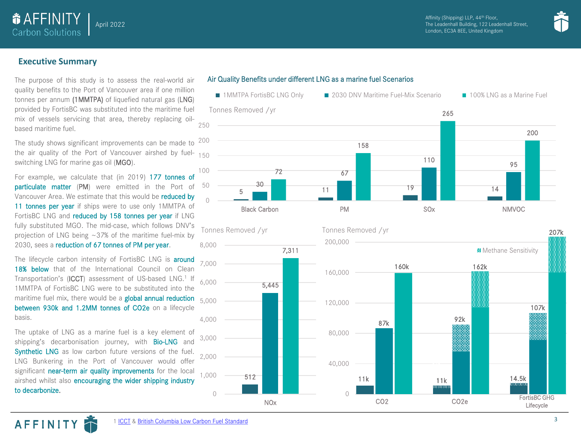

### **Executive Summary**

**O** AFFINITY Carbon Solutions

The purpose of this study is to assess the real-world air quality benefits to the Port of Vancouver area if one million tonnes per annum (1MMTPA) of liquefied natural gas (LNG) provided by FortisBC was substituted into the maritime fuel mix of vessels servicing that area, thereby replacing oilbased maritime fuel.

April 2022

the air quality of the Port of Vancouver airshed by fuel- <sub>150</sub> The study shows significant improvements can be made to switching LNG for marine gas oil (MGO).

For example, we calculate that (in 2019) 177 tonnes of particulate matter (PM) were emitted in the Port of Vancouver Area. We estimate that this would be reduced by 11 tonnes per year if ships were to use only 1MMTPA of FortisBC LNG and reduced by 158 tonnes per year if LNG fully substituted MGO. The mid-case, which follows DNV's projection of LNG being  $\sim$  37% of the maritime fuel-mix by 2030, sees a reduction of 67 tonnes of PM per year.

The lifecycle carbon intensity of FortisBC LNG is **around** 18% below that of the International Council on Clean Transportation's (ICCT) assessment of US-based LNG.<sup>1</sup> If 1MMTPA of FortisBC LNG were to be substituted into the maritime fuel mix, there would be a global annual reduction between 930k and 1.2MM tonnes of CO2e on a lifecycle basis.

The uptake of LNG as a marine fuel is a key element of shipping's decarbonisation journey, with **Bio-LNG** and Synthetic LNG as low carbon future versions of the fuel. LNG Bunkering in the Port of Vancouver would offer significant near-term air quality improvements for the local airshed whilst also encouraging the wider shipping industry to decarbonize.

AFFINITY

### Air Quality Benefits under different LNG as a marine fuel Scenarios

<u>5 30</u> 11 11 12 12 13 14 14 14 14 67  $\frac{110}{95}$ 72 158 265 200  $\cap$ 50 100 200 250 Black Carbon PM SOx NMVOC Tonnes Removed /yr ■ 1MMTPA FortisBC LNG Only ■ 2030 DNV Maritime Fuel-Mix Scenario ■ 100% LNG as a Marine Fuel

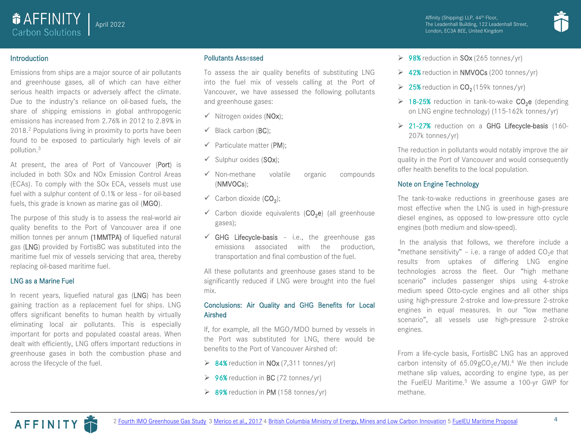

### Introduction

**O** AFFINITY Carbon Solutions

Emissions from ships are a major source of air pollutants and greenhouse gases, all of which can have either serious health impacts or adversely affect the climate. Due to the industry's reliance on oil-based fuels, the share of shipping emissions in global anthropogenic emissions has increased from 2.76% in 2012 to 2.89% in 2018. <sup>2</sup> Populations living in proximity to ports have been found to be exposed to particularly high levels of air pollution. 3

April 2022

At present, the area of Port of Vancouver (Port) is included in both SOx and NOx Emission Control Areas (ECAs). To comply with the SOx ECA, vessels must use fuel with a sulphur content of 0.1% or less - for oil-based fuels, this grade is known as marine gas oil (MGO).

The purpose of this study is to assess the real-world air quality benefits to the Port of Vancouver area if one million tonnes per annum (1MMTPA) of liquefied natural gas (LNG) provided by FortisBC was substituted into the maritime fuel mix of vessels servicing that area, thereby replacing oil-based maritime fuel.

#### LNG as a Marine Fuel

In recent years, liquefied natural gas (LNG) has been gaining traction as a replacement fuel for ships. LNG offers significant benefits to human health by virtually eliminating local air pollutants. This is especially important for ports and populated coastal areas. When dealt with efficiently, LNG offers important reductions in greenhouse gases in both the combustion phase and across the lifecycle of the fuel.

#### Pollutants Assessed

To assess the air quality benefits of substituting LNG into the fuel mix of vessels calling at the Port of Vancouver, we have assessed the following pollutants and greenhouse gases:

- $\checkmark$  Nitrogen oxides (NOx);
- $\checkmark$  Black carbon (BC):
- $\checkmark$  Particulate matter (PM);
- $\checkmark$  Sulphur oxides (SOx);
- ✓ Non-methane volatile organic compounds (NMVOCs);
- $\checkmark$  Carbon dioxide (CO<sub>2</sub>);
- $\checkmark$  Carbon dioxide equivalents (CO<sub>2</sub>e) (all greenhouse gases);
- $\checkmark$  GHG Lifecycle-basis i.e., the greenhouse gas emissions associated with the production, transportation and final combustion of the fuel.

All these pollutants and greenhouse gases stand to be significantly reduced if LNG were brought into the fuel mix.

### Conclusions: Air Quality and GHG Benefits for Local Airshed

If, for example, all the MGO/MDO burned by vessels in the Port was substituted for LNG, there would be benefits to the Port of Vancouver Airshed of:

- $\geq 84\%$  reduction in NOx (7,311 tonnes/yr)
- $\geq 96\%$  reduction in BC (72 tonnes/yr)
- $\triangleright$  89% reduction in PM (158 tonnes/yr)
- $\geq 98\%$  reduction in SOx (265 tonnes/yr)
- $\geq 42\%$  reduction in NMVOCs (200 tonnes/yr)
- $\geq 25\%$  reduction in  $CO<sub>2</sub>(159k$  tonnes/yr)
- $\triangleright$  18-25% reduction in tank-to-wake CO<sub>2</sub>e (depending on LNG engine technology) (115-162k tonnes/yr)
- ➢ 21-27% reduction on a GHG Lifecycle-basis (160- 207k tonnes/yr)

The reduction in pollutants would notably improve the air quality in the Port of Vancouver and would consequently offer health benefits to the local population.

#### Note on Engine Technology

The tank-to-wake reductions in greenhouse gases are most effective when the LNG is used in high-pressure diesel engines, as opposed to low-pressure otto cycle engines (both medium and slow-speed).

In the analysis that follows, we therefore include a "methane sensitivity" - i.e. a range of added CO<sub>2</sub>e that results from uptakes of differing LNG engine technologies across the fleet. Our "high methane scenario" includes passenger ships using 4-stroke medium speed Otto-cycle engines and all other ships using high-pressure 2-stroke and low-pressure 2-stroke engines in equal measures. In our "low methane scenario", all vessels use high-pressure 2-stroke engines.

From a life-cycle basis, FortisBC LNG has an approved carbon intensity of  $65.09$ gCO<sub>2</sub>e/MJ.<sup>4</sup> We then include methane slip values, according to engine type, as per the FuelEU Maritime. <sup>5</sup> We assume a 100-yr GWP for methane.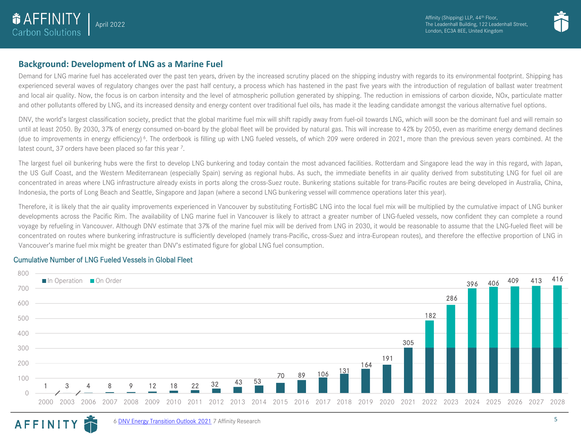



### **Background: Development of LNG as a Marine Fuel**

Demand for LNG marine fuel has accelerated over the past ten years, driven by the increased scrutiny placed on the shipping industry with regards to its environmental footprint. Shipping has experienced several waves of regulatory changes over the past half century, a process which has hastened in the past five years with the introduction of regulation of ballast water treatment and local air quality. Now, the focus is on carbon intensity and the level of atmospheric pollution generated by shipping. The reduction in emissions of carbon dioxide, NOx, particulate matter and other pollutants offered by LNG, and its increased density and energy content over traditional fuel oils, has made it the leading candidate amongst the various alternative fuel options.

DNV, the world's largest classification society, predict that the global maritime fuel mix will shift rapidly away from fuel-oil towards LNG, which will soon be the dominant fuel and will remain so until at least 2050. By 2030, 37% of energy consumed on-board by the global fleet will be provided by natural gas. This will increase to 42% by 2050, even as maritime energy demand declines (due to improvements in energy efficiency)<sup>6</sup>. The orderbook is filling up with LNG fueled vessels, of which 209 were ordered in 2021, more than the previous seven years combined. At the latest count, 37 orders have been placed so far this year 7.

The largest fuel oil bunkering hubs were the first to develop LNG bunkering and today contain the most advanced facilities. Rotterdam and Singapore lead the way in this regard, with Japan, the US Gulf Coast, and the Western Mediterranean (especially Spain) serving as regional hubs. As such, the immediate benefits in air quality derived from substituting LNG for fuel oil are concentrated in areas where LNG infrastructure already exists in ports along the cross-Suez route. Bunkering stations suitable for trans-Pacific routes are being developed in Australia, China, Indonesia, the ports of Long Beach and Seattle, Singapore and Japan (where a second LNG bunkering vessel will commence operations later this year).

Therefore, it is likely that the air quality improvements experienced in Vancouver by substituting FortisBC LNG into the local fuel mix will be multiplied by the cumulative impact of LNG bunker developments across the Pacific Rim. The availability of LNG marine fuel in Vancouver is likely to attract a greater number of LNG-fueled vessels, now confident they can complete a round voyage by refueling in Vancouver. Although DNV estimate that 37% of the marine fuel mix will be derived from LNG in 2030, it would be reasonable to assume that the LNG-fueled fleet will be concentrated on routes where bunkering infrastructure is sufficiently developed (namely trans-Pacific, cross-Suez and intra-European routes), and therefore the effective proportion of LNG in Vancouver's marine fuel mix might be greater than DNV's estimated figure for global LNG fuel consumption.

### Cumulative Number of LNG Fueled Vessels in Global Fleet

**AFFINITY** 



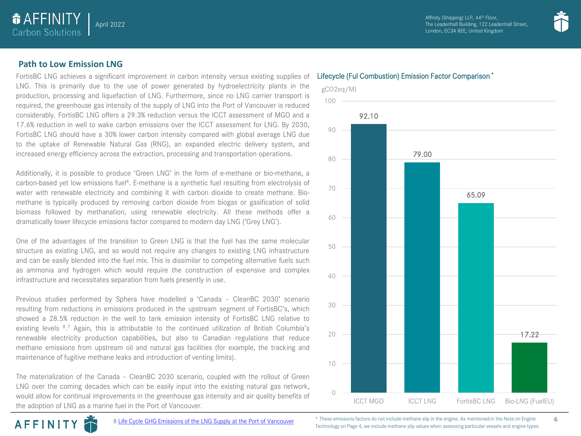

### **Path to Low Emission LNG**

**O** AFFINITY Carbon Solutions

April 2022

FortisBC LNG achieves a significant improvement in carbon intensity versus existing supplies of LNG. This is primarily due to the use of power generated by hydroelectricity plants in the production, processing and liquefaction of LNG. Furthermore, since no LNG carrier transport is required, the greenhouse gas intensity of the supply of LNG into the Port of Vancouver is reduced considerably. FortisBC LNG offers a 29.3% reduction versus the ICCT assessment of MGO and a 17.6% reduction in well to wake carbon emissions over the ICCT assessment for LNG. By 2030, FortisBC LNG should have a 30% lower carbon intensity compared with global average LNG due to the uptake of Renewable Natural Gas (RNG), an expanded electric delivery system, and increased energy efficiency across the extraction, processing and transportation operations.

Additionally, it is possible to produce 'Green LNG' in the form of e-methane or bio-methane, a carbon-based yet low emissions fuel<sup>4</sup>. E-methane is a synthetic fuel resulting from electrolysis of water with renewable electricity and combining it with carbon dioxide to create methane. Biomethane is typically produced by removing carbon dioxide from biogas or gasification of solid biomass followed by methanation, using renewable electricity. All these methods offer a dramatically lower lifecycle emissions factor compared to modern day LNG ('Grey LNG').

One of the advantages of the transition to Green LNG is that the fuel has the same molecular structure as existing LNG, and so would not require any changes to existing LNG infrastructure and can be easily blended into the fuel mix. This is dissimilar to competing alternative fuels such as ammonia and hydrogen which would require the construction of expensive and complex infrastructure and necessitates separation from fuels presently in use.

Previous studies performed by Sphera have modelled a 'Canada – CleanBC 2030' scenario resulting from reductions in emissions produced in the upstream segment of FortisBC's, which showed a 28.5% reduction in the well to tank emission intensity of FortisBC LNG relative to existing levels <sup>8</sup>.7 Again, this is attributable to the continued utilization of British Columbia's renewable electricity production capabilities, but also to Canadian regulations that reduce methane emissions from upstream oil and natural gas facilities (for example, the tracking and maintenance of fugitive methane leaks and introduction of venting limits).

The materialization of the Canada – CleanBC 2030 scenario, coupled with the rollout of Green LNG over the coming decades which can be easily input into the existing natural gas network, would allow for continual improvements in the greenhouse gas intensity and air quality benefits of the adoption of LNG as a marine fuel in the Port of Vancouver.



#### Lifecycle (Ful Combustion) Emission Factor Comparison \*

\* These emissions factors do not include methane slip in the engine. As mentioned in the Note on Engine Technology on Page 4, we include methane slip values when assessing particular vessels and engine types.

ICCT MGO ICCT LNG FortisBC LNG Bio-LNG (FuelEU)

 $\bigcap$ 



6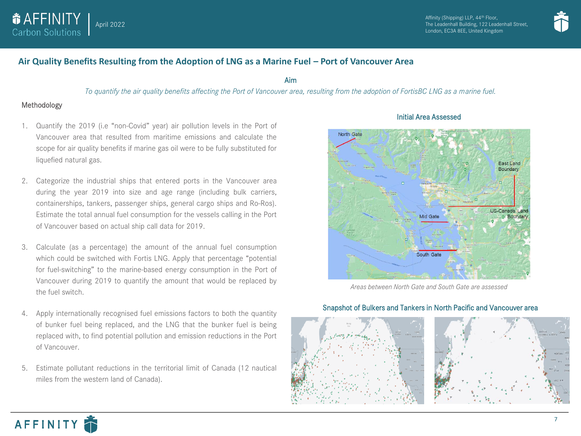



### **Air Quality Benefits Resulting from the Adoption of LNG as a Marine Fuel – Port of Vancouver Area**

Aim

*To quantify the air quality benefits affecting the Port of Vancouver area, resulting from the adoption of FortisBC LNG as a marine fuel.*

### Methodology

- 1. Quantify the 2019 (i.e "non-Covid" year) air pollution levels in the Port of Vancouver area that resulted from maritime emissions and calculate the scope for air quality benefits if marine gas oil were to be fully substituted for liquefied natural gas.
- 2. Categorize the industrial ships that entered ports in the Vancouver area during the year 2019 into size and age range (including bulk carriers, containerships, tankers, passenger ships, general cargo ships and Ro-Ros). Estimate the total annual fuel consumption for the vessels calling in the Port of Vancouver based on actual ship call data for 2019.
- 3. Calculate (as a percentage) the amount of the annual fuel consumption which could be switched with Fortis LNG. Apply that percentage "potential for fuel-switching" to the marine-based energy consumption in the Port of Vancouver during 2019 to quantify the amount that would be replaced by the fuel switch.
- 4. Apply internationally recognised fuel emissions factors to both the quantity of bunker fuel being replaced, and the LNG that the bunker fuel is being replaced with, to find potential pollution and emission reductions in the Port of Vancouver.
- 5. Estimate pollutant reductions in the territorial limit of Canada (12 nautical miles from the western land of Canada).



### Initial Area Assessed

*Areas between North Gate and South Gate are assessed*



### Snapshot of Bulkers and Tankers in North Pacific and Vancouver area



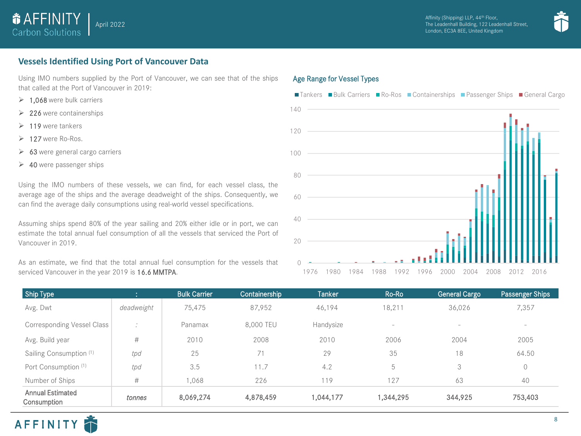



### **Vessels Identified Using Port of Vancouver Data**

Using IMO numbers supplied by the Port of Vancouver, we can see that of the ships that called at the Port of Vancouver in 2019:

- $\geq 1.068$  were bulk carriers
- ➢ 226 were containerships
- $\geq 119$  were tankers
- ➢ 127 were Ro-Ros.
- $\geq 63$  were general cargo carriers
- $\geq 40$  were passenger ships

Using the IMO numbers of these vessels, we can find, for each vessel class, the average age of the ships and the average deadweight of the ships. Consequently, we can find the average daily consumptions using real-world vessel specifications.

Assuming ships spend 80% of the year sailing and 20% either idle or in port, we can estimate the total annual fuel consumption of all the vessels that serviced the Port of Vancouver in 2019.

As an estimate, we find that the total annual fuel consumption for the vessels that serviced Vancouver in the year 2019 is 16.6 MMTPA.

### Age Range for Vessel Types



| Ship Type                              |                      | <b>Bulk Carrier</b> | Containership | Tanker    | Ro-Ro                    | <b>General Cargo</b>     | Passenger Ships |
|----------------------------------------|----------------------|---------------------|---------------|-----------|--------------------------|--------------------------|-----------------|
| Avg. Dwt                               | deadweight           | 75,475              | 87,952        | 46,194    | 18,211                   | 36,026                   | 7,357           |
| <b>Corresponding Vessel Class</b>      | $\ddot{\phantom{1}}$ | Panamax             | 8,000 TEU     | Handysize | $\overline{\phantom{a}}$ | $\overline{\phantom{a}}$ | $-$             |
| Avg. Build year                        | #                    | 2010                | 2008          | 2010      | 2006                     | 2004                     | 2005            |
| Sailing Consumption (1)                | tpd                  | 25                  | 71            | 29        | 35                       | 18                       | 64.50           |
| Port Consumption (1)                   | tpd                  | 3.5                 | 11.7          | 4.2       | b.                       | 3                        | $\mathbf 0$     |
| Number of Ships                        | #                    | ,068                | 226           | 119       | 127                      | 63                       | 40              |
| <b>Annual Estimated</b><br>Consumption | tonnes               | 8,069,274           | 4,878,459     | 1,044,177 | 1,344,295                | 344,925                  | 753,403         |

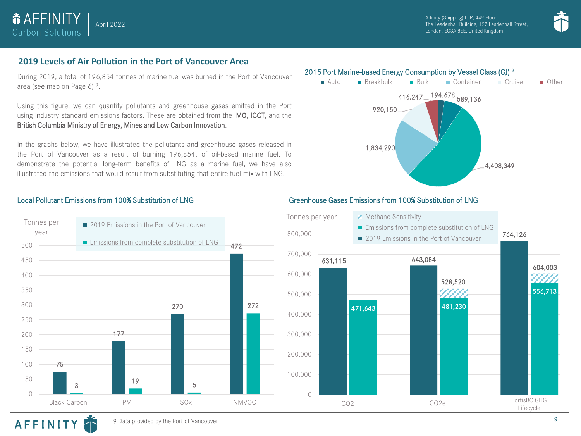

Affinity (Shipping) LLP, 44<sup>th</sup> Floor, The Leadenhall Building, 122 Leadenhall Street, London, EC3A 8EE, United Kingdom



### **2019 Levels of Air Pollution in the Port of Vancouver Area**

During 2019, a total of 196,854 tonnes of marine fuel was burned in the Port of Vancouver area (see map on Page 6)<sup>9</sup>.

Using this figure, we can quantify pollutants and greenhouse gases emitted in the Port using industry standard emissions factors. These are obtained from the IMO, ICCT, and the British Columbia Ministry of Energy, Mines and Low Carbon Innovation.

In the graphs below, we have illustrated the pollutants and greenhouse gases released in the Port of Vancouver as a result of burning 196,854t of oil-based marine fuel. To demonstrate the potential long-term benefits of LNG as a marine fuel, we have also illustrated the emissions that would result from substituting that entire fuel-mix with LNG.

### 2015 Port Marine-based Energy Consumption by Vessel Class (GJ) <sup>9</sup>





### Local Pollutant Emissions from 100% Substitution of LNG Greenhouse Gases Emissions from 100% Substitution of LNG



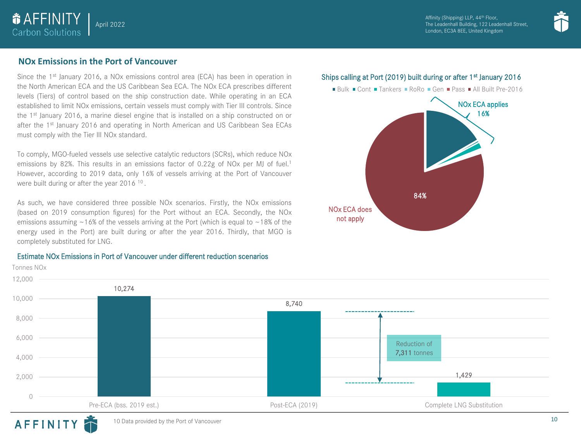Affinity (Shipping) LLP, 44<sup>th</sup> Floor, The Leadenhall Building, 122 Leadenhall Street, London, EC3A 8EE, United Kingdom



### **NOx Emissions in the Port of Vancouver**

**& AFFINITY** Carbon Solutions

April 2022

Since the 1<sup>st</sup> January 2016, a NOx emissions control area (ECA) has been in operation in the North American ECA and the US Caribbean Sea ECA. The NOx ECA prescribes different levels (Tiers) of control based on the ship construction date. While operating in an ECA established to limit NOx emissions, certain vessels must comply with Tier III controls. Since the 1<sup>st</sup> January 2016, a marine diesel engine that is installed on a ship constructed on or after the 1<sup>st</sup> January 2016 and operating in North American and US Caribbean Sea ECAs must comply with the Tier III NOx standard.

To comply, MGO-fueled vessels use selective catalytic reductors (SCRs), which reduce NOx emissions by 82%. This results in an emissions factor of 0.22g of NOx per MJ of fuel.<sup>1</sup> However, according to 2019 data, only 16% of vessels arriving at the Port of Vancouver were built during or after the year 2016<sup>10</sup>.

As such, we have considered three possible NOx scenarios. Firstly, the NOx emissions (based on 2019 consumption figures) for the Port without an ECA. Secondly, the NOx emissions assuming  $\sim$  16% of the vessels arriving at the Port (which is equal to  $\sim$  18% of the energy used in the Port) are built during or after the year 2016. Thirdly, that MGO is completely substituted for LNG.

Estimate NOx Emissions in Port of Vancouver under different reduction scenarios







### AFFINITY

Tonnes NOx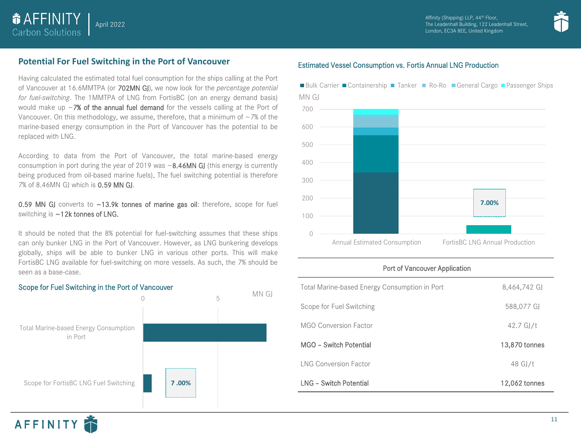

### **Potential For Fuel Switching in the Port of Vancouver**

April 2022

**& AFFINITY** Carbon Solutions

Having calculated the estimated total fuel consumption for the ships calling at the Port of Vancouver at 16.6MMTPA (or 702MN GJ), we now look for the *percentage potential for fuel-switching*. The 1MMTPA of LNG from FortisBC (on an energy demand basis) would make up  $\sim$ 7% of the annual fuel demand for the vessels calling at the Port of Vancouver. On this methodology, we assume, therefore, that a minimum of  $\sim$  7% of the marine-based energy consumption in the Port of Vancouver has the potential to be replaced with LNG.

According to data from the Port of Vancouver, the total marine-based energy consumption in port during the year of 2019 was  $\sim$  8.46MN GJ (this energy is currently being produced from oil-based marine fuels). The fuel switching potential is therefore 7% of 8.46MN GJ which is 0.59 MN GJ.

### 0.59 MN GJ converts to ~13.9k tonnes of marine gas oil: therefore, scope for fuel switching is ~12k tonnes of LNG.

It should be noted that the 8% potential for fuel-switching assumes that these ships can only bunker LNG in the Port of Vancouver. However, as LNG bunkering develops globally, ships will be able to bunker LNG in various other ports. This will make FortisBC LNG available for fuel-switching on more vessels. As such, the 7% should be seen as a base-case.



### Estimated Vessel Consumption vs. Fortis Annual LNG Production



### Port of Vancouver Application

| Total Marine-based Energy Consumption in Port | 8,464,742 GJ        |
|-----------------------------------------------|---------------------|
| Scope for Fuel Switching                      | 588,077 GJ          |
| MGO Conversion Factor                         | $42.7 \text{ GJ/t}$ |
| MGO - Switch Potential                        | 13,870 tonnes       |
| <b>ING Conversion Factor</b>                  | 48 GJ/t             |
| I NG - Switch Potential                       | 12,062 tonnes       |

### Scope for Fuel Switching in the Port of Vancouver

AFFINITY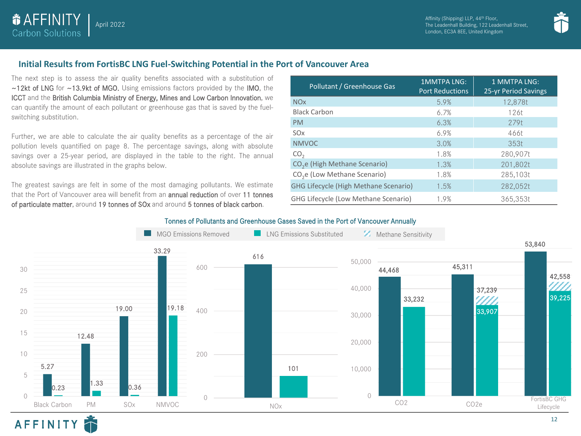



### **Initial Results from FortisBC LNG Fuel-Switching Potential in the Port of Vancouver Area**

The next step is to assess the air quality benefits associated with a substitution of ~12kt of LNG for ~13.9kt of MGO. Using emissions factors provided by the IMO, the ICCT and the British Columbia Ministry of Energy, Mines and Low Carbon Innovation, we can quantify the amount of each pollutant or greenhouse gas that is saved by the fuelswitching substitution.

April 2022

*<u>OAFFINITY</u>* **Carbon Solutions** 

AFFINITY

Further, we are able to calculate the air quality benefits as a percentage of the air pollution levels quantified on page 8. The percentage savings, along with absolute savings over a 25-year period, are displayed in the table to the right. The annual absolute savings are illustrated in the graphs below.

The greatest savings are felt in some of the most damaging pollutants. We estimate that the Port of Vancouver area will benefit from an **annual reduction** of over 11 tonnes of particulate matter, around 19 tonnes of SOx and around 5 tonnes of black carbon.

| Pollutant / Greenhouse Gas                   | <b>1MMTPA LNG:</b><br><b>Port Reductions</b> | 1 MMTPA LNG:<br>25-yr Period Savings |
|----------------------------------------------|----------------------------------------------|--------------------------------------|
| <b>NO<sub>x</sub></b>                        | 5.9%                                         | 12,878t                              |
| <b>Black Carbon</b>                          | 6.7%                                         | 126t                                 |
| <b>PM</b>                                    | 6.3%                                         | 279t                                 |
| SO <sub>x</sub>                              | 6.9%                                         | 466t                                 |
| <b>NMVOC</b>                                 | 3.0%                                         | 353t                                 |
| CO <sub>2</sub>                              | 1.8%                                         | 280,907t                             |
| CO <sub>2</sub> e (High Methane Scenario)    | 1.3%                                         | 201,802t                             |
| CO <sub>2</sub> e (Low Methane Scenario)     | 1.8%                                         | 285,103t                             |
| <b>GHG Lifecycle (High Methane Scenario)</b> | 1.5%                                         | 282,052t                             |
| <b>GHG Lifecycle (Low Methane Scenario)</b>  | 1.9%                                         | 365,353t                             |

### Tonnes of Pollutants and Greenhouse Gases Saved in the Port of Vancouver Annually

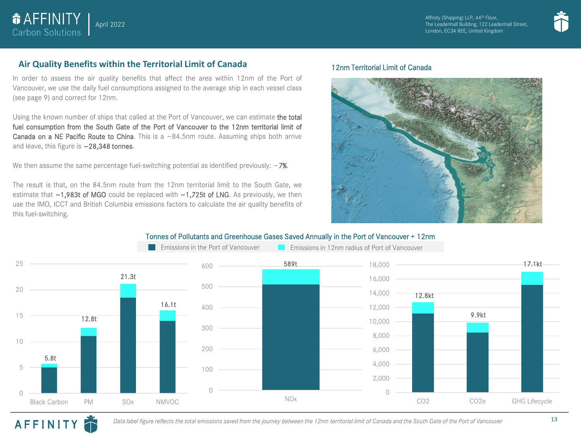

### **Air Quality Benefits within the Territorial Limit of Canada**

April 2022

*<u>OAFFINITY</u>* **Carbon Solutions** 

In order to assess the air quality benefits that affect the area within 12nm of the Port of Vancouver, we use the daily fuel consumptions assigned to the average ship in each vessel class (see page 9) and correct for 12nm.

Using the known number of ships that called at the Port of Vancouver, we can estimate the total fuel consumption from the South Gate of the Port of Vancouver to the 12nm territorial limit of **Canada on a NE Pacific Route to China.** This is a  $\sim 84.5$ nm route. Assuming ships both arrive and leave, this figure is ~28,348 tonnes.

We then assume the same percentage fuel-switching potential as identified previously:  $\sim$ 7%.

The result is that, on the 84.5nm route from the 12nm territorial limit to the South Gate, we estimate that  $\sim$ 1,983t of MGO could be replaced with  $\sim$ 1,725t of LNG. As previously, we then use the IMO, ICCT and British Columbia emissions factors to calculate the air quality benefits of this fuel-switching.

### 12nm Territorial Limit of Canada



### Tonnes of Pollutants and Greenhouse Gases Saved Annually in the Port of Vancouver + 12nm



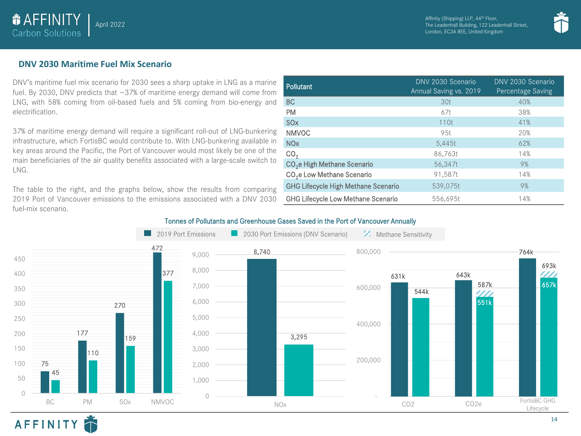

### **DNV 2030 Maritime Fuel Mix Scenario**

 $\bullet$  **AFFINITY Carbon Solutions** 

April 2022

DNV's maritime fuel mix scenario for 2030 sees a sharp uptake in LNG as a marine fuel. By 2030, DNV predicts that ~37% of maritime energy demand will come from LNG, with 58% coming from oil-based fuels and 5% coming from bio-energy and electrification.

37% of maritime energy demand will require a significant roll-out of LNG-bunkering infrastructure, which FortisBC would contribute to. With LNG-bunkering available in key areas around the Pacific, the Port of Vancouver would most likely be one of the main beneficiaries of the air quality benefits associated with a large-scale switch to LNG.

The table to the right, and the graphs below, show the results from comparing 2019 Port of Vancouver emissions to the emissions associated with a DNV 2030 fuel-mix scenario.

| <b>Pollutant</b>                           | DNV 2030 Scenario<br>Annual Saving vs. 2019 | DNV 2030 Scenario<br>Percentage Saving |
|--------------------------------------------|---------------------------------------------|----------------------------------------|
| <b>BC</b>                                  | 30 <sub>t</sub>                             | 40%                                    |
| <b>PM</b>                                  | 67t                                         | 38%                                    |
| <b>SO<sub>x</sub></b>                      | 110t                                        | 41%                                    |
| <b>NMVOC</b>                               | 95t                                         | 20%                                    |
| <b>NO<sub>x</sub></b>                      | 5,445t                                      | 62%                                    |
| CO <sub>2</sub>                            | 86,763t                                     | 14%                                    |
| CO <sub>2</sub> e High Methane Scenario    | 56,347t                                     | 9%                                     |
| CO <sub>2</sub> e Low Methane Scenario     | 91.587t                                     | 14%                                    |
| <b>GHG Lifecycle High Methane Scenario</b> | 539.075t                                    | 9%                                     |
| <b>GHG Lifecycle Low Methane Scenario</b>  | 556,695t                                    | 14%                                    |

### Tonnes of Pollutants and Greenhouse Gases Saved in the Port of Vancouver Annually



### AFFINITY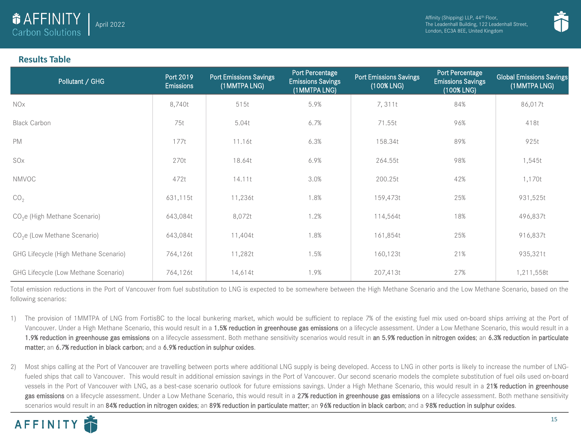

### **Results Table**

| Pollutant / GHG                           | Port 2019<br><b>Emissions</b> | <b>Port Emissions Savings</b><br>(1 MMTPA LNG) | Port Percentage<br><b>Emissions Savings</b><br>(1MMTPA LNG) | <b>Port Emissions Savings</b><br>(100% LNG) | Port Percentage<br><b>Emissions Savings</b><br>(100% LNG) | <b>Global Emissions Savings</b><br>(1 MMTPA LNG) |
|-------------------------------------------|-------------------------------|------------------------------------------------|-------------------------------------------------------------|---------------------------------------------|-----------------------------------------------------------|--------------------------------------------------|
| <b>NOx</b>                                | 8,740t                        | 515t                                           | 5.9%                                                        | 7,311t                                      | 84%                                                       | 86,017t                                          |
| <b>Black Carbon</b>                       | 75t                           | 5.04t                                          | 6.7%                                                        | 71.55t                                      | 96%                                                       | 418t                                             |
| <b>PM</b>                                 | 177t                          | 11.16t                                         | 6.3%                                                        | 158.34t                                     | 89%                                                       | 925t                                             |
| SOx                                       | 270t                          | 18.64t                                         | 6.9%                                                        | 264.55t                                     | 98%                                                       | 1,545t                                           |
| <b>NMVOC</b>                              | 472t                          | 14.11t                                         | 3.0%                                                        | 200.25t                                     | 42%                                                       | 1,170t                                           |
| CO <sub>2</sub>                           | 631,115t                      | 11,236t                                        | 1.8%                                                        | 159,473t                                    | 25%                                                       | 931,525t                                         |
| CO <sub>2</sub> e (High Methane Scenario) | 643,084t                      | 8,072t                                         | 1.2%                                                        | 114,564t                                    | 18%                                                       | 496,837t                                         |
| $CO2e$ (Low Methane Scenario)             | 643,084t                      | 11,404t                                        | 1.8%                                                        | 161,854t                                    | 25%                                                       | 916,837t                                         |
| GHG Lifecycle (High Methane Scenario)     | 764,126t                      | 11,282t                                        | 1.5%                                                        | 160,123t                                    | 21%                                                       | 935,321t                                         |
| GHG Lifecycle (Low Methane Scenario)      | 764,126t                      | 14,614t                                        | 1.9%                                                        | 207,413t                                    | 27%                                                       | 1,211,558t                                       |

Total emission reductions in the Port of Vancouver from fuel substitution to LNG is expected to be somewhere between the High Methane Scenario and the Low Methane Scenario, based on the following scenarios:

- 1) The provision of 1MMTPA of LNG from FortisBC to the local bunkering market, which would be sufficient to replace 7% of the existing fuel mix used on-board ships arriving at the Port of Vancouver. Under a High Methane Scenario, this would result in a 1.5% reduction in greenhouse gas emissions on a lifecycle assessment. Under a Low Methane Scenario, this would result in a 1.9% reduction in greenhouse gas emissions on a lifecycle assessment. Both methane sensitivity scenarios would result in an 5.9% reduction in nitrogen oxides; an 6.3% reduction in particulate matter; an 6.7% reduction in black carbon; and a 6.9% reduction in sulphur oxides.
- 2) Most ships calling at the Port of Vancouver are travelling between ports where additional LNG supply is being developed. Access to LNG in other ports is likely to increase the number of LNGfueled ships that call to Vancouver. This would result in additional emission savings in the Port of Vancouver. Our second scenario models the complete substitution of fuel oils used on-board vessels in the Port of Vancouver with LNG, as a best-case scenario outlook for future emissions savings. Under a High Methane Scenario, this would result in a 21% reduction in greenhouse gas emissions on a lifecycle assessment. Under a Low Methane Scenario, this would result in a 27% reduction in greenhouse gas emissions on a lifecycle assessment. Both methane sensitivity scenarios would result in an 84% reduction in nitrogen oxides; an 89% reduction in particulate matter; an 96% reduction in black carbon; and a 98% reduction in sulphur oxides.

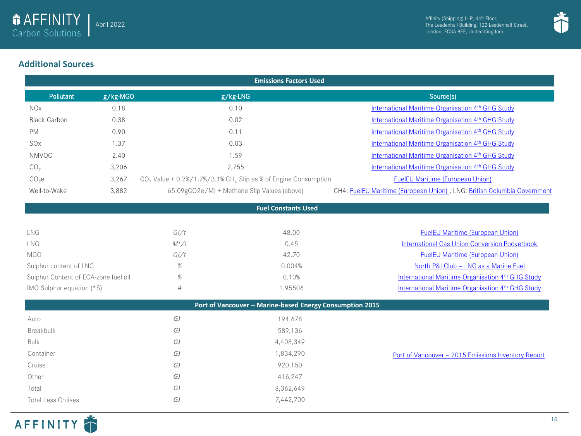



### **Additional Sources**

| <b>Emissions Factors Used</b>        |          |                                                                              |                                                                          |  |
|--------------------------------------|----------|------------------------------------------------------------------------------|--------------------------------------------------------------------------|--|
| <b>Pollutant</b>                     | g/kg-MGO | g/kg-LNG                                                                     | Source(s)                                                                |  |
| <b>NOx</b>                           | 0.18     | 0.10                                                                         | International Maritime Organisation 4 <sup>th</sup> GHG Study            |  |
| <b>Black Carbon</b>                  | 0.38     | 0.02                                                                         | International Maritime Organisation 4 <sup>th</sup> GHG Study            |  |
| <b>PM</b>                            | 0.90     | 0.11                                                                         | International Maritime Organisation 4 <sup>th</sup> GHG Study            |  |
| SO <sub>x</sub>                      | 1.37     | 0.03                                                                         | International Maritime Organisation 4 <sup>th</sup> GHG Study            |  |
| <b>NMVOC</b>                         | 2.40     | 1.59                                                                         | International Maritime Organisation 4th GHG Study                        |  |
| CO <sub>2</sub>                      | 3,206    | 2,755                                                                        | International Maritime Organisation 4th GHG Study                        |  |
| CO <sub>2</sub> e                    | 3,267    | $CO2$ Value + 0.2%/1.7%/3.1% CH <sub>4</sub> Slip as % of Engine Consumption | <b>FuelEU Maritime (European Union)</b>                                  |  |
| Well-to-Wake                         | 3,882    | 65.09gCO2e/MJ + Methane Slip Values (above)                                  | CH4: FuelEU Maritime (European Union) ; LNG: British Columbia Government |  |
|                                      |          | <b>Fuel Constants Used</b>                                                   |                                                                          |  |
|                                      |          |                                                                              |                                                                          |  |
| LNG                                  |          | GJ/t<br>48.00                                                                | <b>FuelEU Maritime (European Union)</b>                                  |  |
| LNG                                  |          | $M^3/t$<br>0.45                                                              | <b>International Gas Union Conversion Pocketbook</b>                     |  |
| <b>MGO</b>                           |          | 42.70<br>GJ/t                                                                | <b>FuelEU Maritime (European Union)</b>                                  |  |
| Sulphur content of LNG               |          | $\%$<br>0.004%                                                               | North P&I Club - LNG as a Marine Fuel                                    |  |
| Sulphur Content of ECA-zone fuel oil |          | $\%$<br>0.10%                                                                | International Maritime Organisation 4 <sup>th</sup> GHG Study            |  |
| IMO Sulphur equation (*S)            |          | $\#$<br>1.95506                                                              | International Maritime Organisation 4 <sup>th</sup> GHG Study            |  |
|                                      |          | Port of Vancouver - Marine-based Energy Consumption 2015                     |                                                                          |  |
| Auto                                 |          | GJ<br>194,678                                                                |                                                                          |  |
| Breakbulk                            |          | GJ<br>589,136                                                                |                                                                          |  |
| <b>Bulk</b>                          |          | GJ<br>4,408,349                                                              |                                                                          |  |
| Container                            |          | GJ<br>1,834,290                                                              | Port of Vancouver - 2015 Emissions Inventory Report                      |  |
| Cruise                               |          | GJ<br>920,150                                                                |                                                                          |  |
| Other                                |          | 416,247<br>GJ                                                                |                                                                          |  |
| Total                                |          | 8,362,649<br>GJ                                                              |                                                                          |  |
| <b>Total Less Cruises</b>            |          | GJ<br>7,442,700                                                              |                                                                          |  |